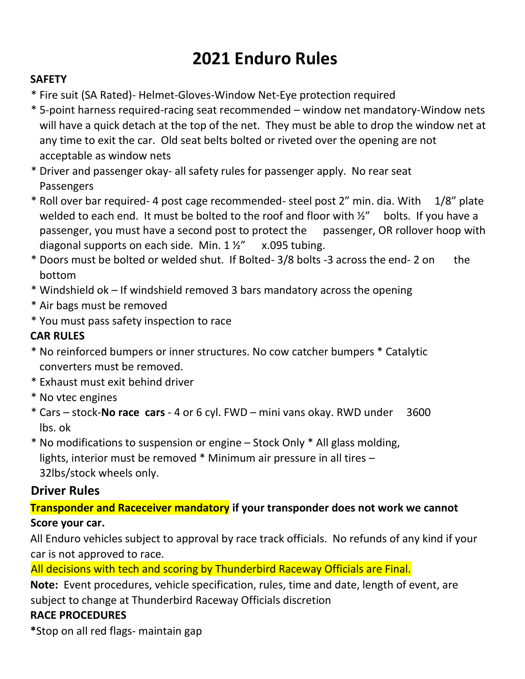# **2021 Enduro Rules**

#### **SAFETY**

- \* Fire suit (SA Rated)- Helmet-Gloves-Window Net-Eye protection required
- \* 5-point harness required-racing seat recommended window net mandatory-Window nets will have a quick detach at the top of the net. They must be able to drop the window net at any time to exit the car. Old seat belts bolted or riveted over the opening are not acceptable as window nets
- \* Driver and passenger okay- all safety rules for passenger apply. No rear seat **Passengers**
- \* Roll over bar required- 4 post cage recommended- steel post 2" min. dia. With 1/8" plate welded to each end. It must be bolted to the roof and floor with  $\frac{1}{2}$ " bolts. If you have a passenger, you must have a second post to protect the passenger, OR rollover hoop with diagonal supports on each side. Min.  $1\frac{1}{2}$  x.095 tubing.
- \* Doors must be bolted or welded shut. If Bolted- 3/8 bolts -3 across the end- 2 on the bottom
- \* Windshield ok If windshield removed 3 bars mandatory across the opening
- \* Air bags must be removed
- \* You must pass safety inspection to race

### **CAR RULES**

- \* No reinforced bumpers or inner structures. No cow catcher bumpers \* Catalytic converters must be removed.
- \* Exhaust must exit behind driver
- \* No vtec engines
- \* Cars stock-**No race cars** 4 or 6 cyl. FWD mini vans okay. RWD under 3600 lbs. ok

\* No modifications to suspension or engine – Stock Only \* All glass molding, lights, interior must be removed \* Minimum air pressure in all tires – 32lbs/stock wheels only.

## **Driver Rules**

## **Transponder and Raceceiver mandatory if your transponder does not work we cannot Score your car.**

All Enduro vehicles subject to approval by race track officials. No refunds of any kind if your car is not approved to race.

All decisions with tech and scoring by Thunderbird Raceway Officials are Final.

**Note:** Event procedures, vehicle specification, rules, time and date, length of event, are subject to change at Thunderbird Raceway Officials discretion

### **RACE PROCEDURES**

**\***Stop on all red flags- maintain gap